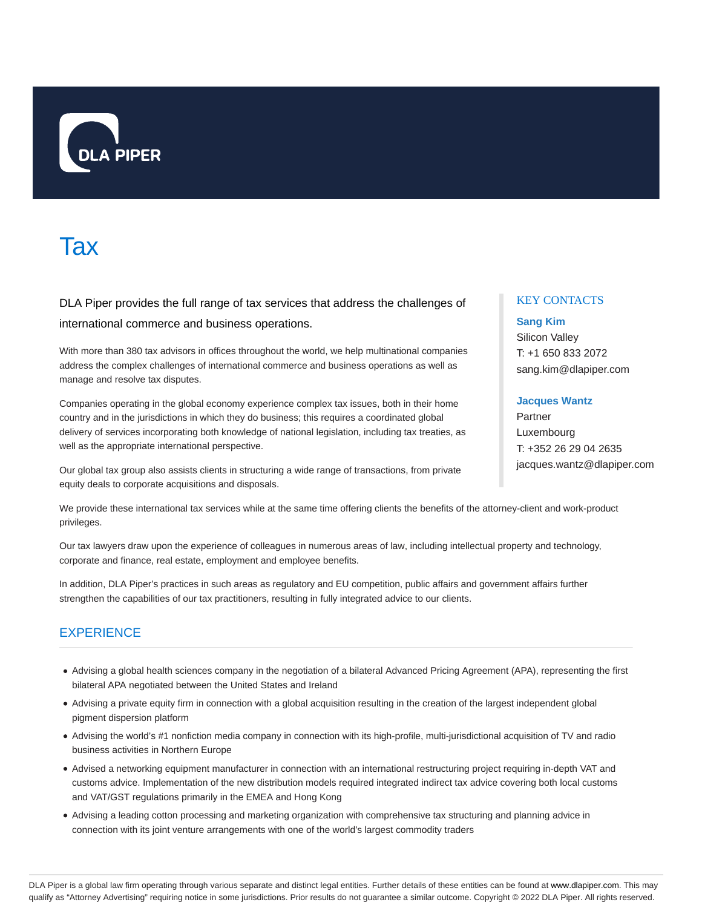

# **Tax**

DLA Piper provides the full range of tax services that address the challenges of international commerce and business operations.

With more than 380 tax advisors in offices throughout the world, we help multinational companies address the complex challenges of international commerce and business operations as well as manage and resolve tax disputes.

Companies operating in the global economy experience complex tax issues, both in their home country and in the jurisdictions in which they do business; this requires a coordinated global delivery of services incorporating both knowledge of national legislation, including tax treaties, as well as the appropriate international perspective.

Our global tax group also assists clients in structuring a wide range of transactions, from private equity deals to corporate acquisitions and disposals.

### KEY CONTACTS

## **Sang Kim** Silicon Valley

T: +1 650 833 2072 sang.kim@dlapiper.com

### **Jacques Wantz**

Partner Luxembourg T: +352 26 29 04 2635 jacques.wantz@dlapiper.com

We provide these international tax services while at the same time offering clients the benefits of the attorney-client and work-product privileges.

Our tax lawyers draw upon the experience of colleagues in numerous areas of law, including intellectual property and technology, corporate and finance, real estate, employment and employee benefits.

In addition, DLA Piper's practices in such areas as regulatory and EU competition, public affairs and government affairs further strengthen the capabilities of our tax practitioners, resulting in fully integrated advice to our clients.

### **EXPERIENCE**

- Advising a global health sciences company in the negotiation of a bilateral Advanced Pricing Agreement (APA), representing the first bilateral APA negotiated between the United States and Ireland
- Advising a private equity firm in connection with a global acquisition resulting in the creation of the largest independent global pigment dispersion platform
- Advising the world's #1 nonfiction media company in connection with its high-profile, multi-jurisdictional acquisition of TV and radio business activities in Northern Europe
- Advised a networking equipment manufacturer in connection with an international restructuring project requiring in-depth VAT and customs advice. Implementation of the new distribution models required integrated indirect tax advice covering both local customs and VAT/GST regulations primarily in the EMEA and Hong Kong
- Advising a leading cotton processing and marketing organization with comprehensive tax structuring and planning advice in connection with its joint venture arrangements with one of the world's largest commodity traders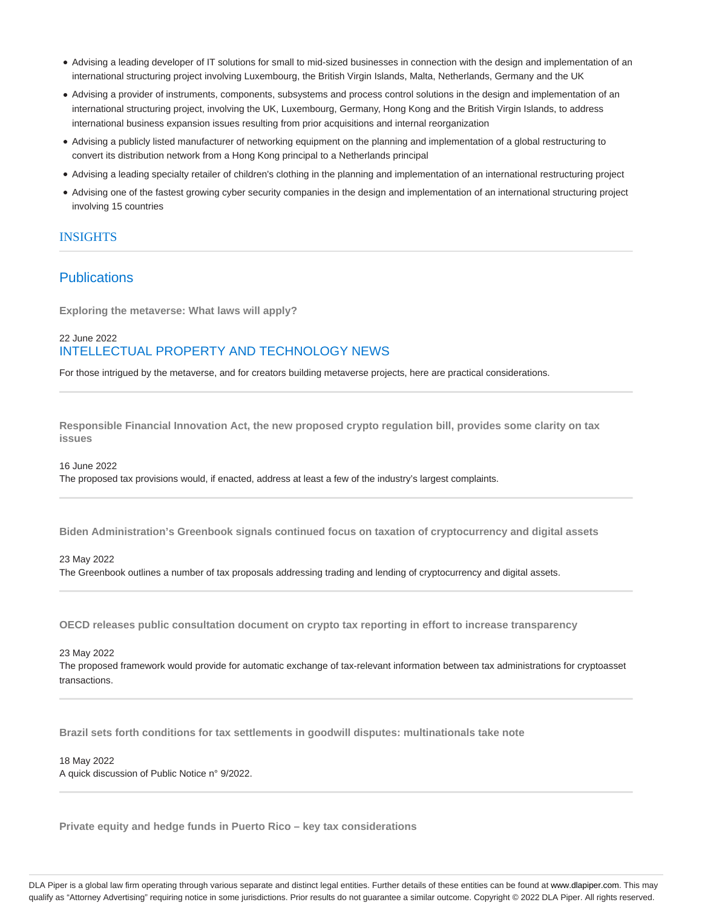- Advising a leading developer of IT solutions for small to mid-sized businesses in connection with the design and implementation of an international structuring project involving Luxembourg, the British Virgin Islands, Malta, Netherlands, Germany and the UK
- Advising a provider of instruments, components, subsystems and process control solutions in the design and implementation of an international structuring project, involving the UK, Luxembourg, Germany, Hong Kong and the British Virgin Islands, to address international business expansion issues resulting from prior acquisitions and internal reorganization
- Advising a publicly listed manufacturer of networking equipment on the planning and implementation of a global restructuring to convert its distribution network from a Hong Kong principal to a Netherlands principal
- Advising a leading specialty retailer of children's clothing in the planning and implementation of an international restructuring project
- Advising one of the fastest growing cyber security companies in the design and implementation of an international structuring project involving 15 countries

### **INSIGHTS**

### **Publications**

**Exploring the metaverse: What laws will apply?**

### 22 June 2022 INTELLECTUAL PROPERTY AND TECHNOLOGY NEWS

For those intrigued by the metaverse, and for creators building metaverse projects, here are practical considerations.

**Responsible Financial Innovation Act, the new proposed crypto regulation bill, provides some clarity on tax issues**

16 June 2022

The proposed tax provisions would, if enacted, address at least a few of the industry's largest complaints.

**Biden Administration's Greenbook signals continued focus on taxation of cryptocurrency and digital assets**

#### 23 May 2022

The Greenbook outlines a number of tax proposals addressing trading and lending of cryptocurrency and digital assets.

**OECD releases public consultation document on crypto tax reporting in effort to increase transparency**

23 May 2022

The proposed framework would provide for automatic exchange of tax-relevant information between tax administrations for cryptoasset transactions.

**Brazil sets forth conditions for tax settlements in goodwill disputes: multinationals take note**

#### 18 May 2022 A quick discussion of Public Notice n° 9/2022.

**Private equity and hedge funds in Puerto Rico – key tax considerations**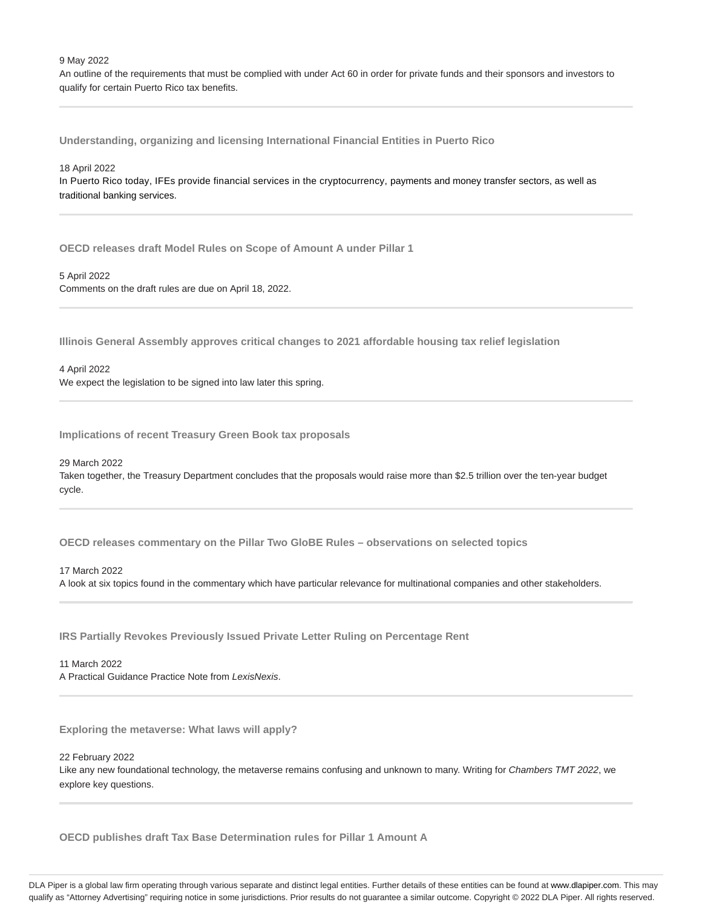9 May 2022

An outline of the requirements that must be complied with under Act 60 in order for private funds and their sponsors and investors to qualify for certain Puerto Rico tax benefits.

**Understanding, organizing and licensing International Financial Entities in Puerto Rico**

#### 18 April 2022

In Puerto Rico today, IFEs provide financial services in the cryptocurrency, payments and money transfer sectors, as well as traditional banking services.

**OECD releases draft Model Rules on Scope of Amount A under Pillar 1**

#### 5 April 2022

Comments on the draft rules are due on April 18, 2022.

**Illinois General Assembly approves critical changes to 2021 affordable housing tax relief legislation**

4 April 2022 We expect the legislation to be signed into law later this spring.

**Implications of recent Treasury Green Book tax proposals**

29 March 2022

Taken together, the Treasury Department concludes that the proposals would raise more than \$2.5 trillion over the ten-year budget cycle.

**OECD releases commentary on the Pillar Two GloBE Rules – observations on selected topics**

17 March 2022

A look at six topics found in the commentary which have particular relevance for multinational companies and other stakeholders.

**IRS Partially Revokes Previously Issued Private Letter Ruling on Percentage Rent**

11 March 2022 A Practical Guidance Practice Note from LexisNexis.

**Exploring the metaverse: What laws will apply?**

22 February 2022

Like any new foundational technology, the metaverse remains confusing and unknown to many. Writing for Chambers TMT 2022, we explore key questions.

**OECD publishes draft Tax Base Determination rules for Pillar 1 Amount A**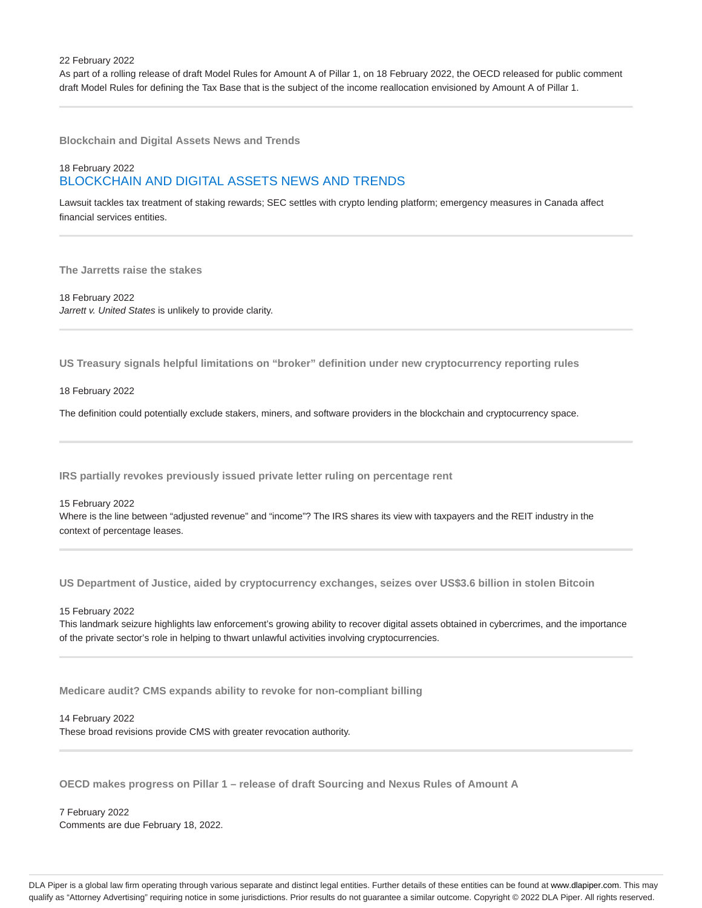As part of a rolling release of draft Model Rules for Amount A of Pillar 1, on 18 February 2022, the OECD released for public comment draft Model Rules for defining the Tax Base that is the subject of the income reallocation envisioned by Amount A of Pillar 1.

**Blockchain and Digital Assets News and Trends**

### 18 February 2022 BLOCKCHAIN AND DIGITAL ASSETS NEWS AND TRENDS

Lawsuit tackles tax treatment of staking rewards; SEC settles with crypto lending platform; emergency measures in Canada affect financial services entities.

**The Jarretts raise the stakes**

18 February 2022 Jarrett v. United States is unlikely to provide clarity.

**US Treasury signals helpful limitations on "broker" definition under new cryptocurrency reporting rules**

18 February 2022

The definition could potentially exclude stakers, miners, and software providers in the blockchain and cryptocurrency space.

**IRS partially revokes previously issued private letter ruling on percentage rent**

15 February 2022 Where is the line between "adjusted revenue" and "income"? The IRS shares its view with taxpayers and the REIT industry in the context of percentage leases.

**US Department of Justice, aided by cryptocurrency exchanges, seizes over US\$3.6 billion in stolen Bitcoin**

15 February 2022

This landmark seizure highlights law enforcement's growing ability to recover digital assets obtained in cybercrimes, and the importance of the private sector's role in helping to thwart unlawful activities involving cryptocurrencies.

**Medicare audit? CMS expands ability to revoke for non-compliant billing**

14 February 2022

These broad revisions provide CMS with greater revocation authority.

**OECD makes progress on Pillar 1 – release of draft Sourcing and Nexus Rules of Amount A**

7 February 2022 Comments are due February 18, 2022.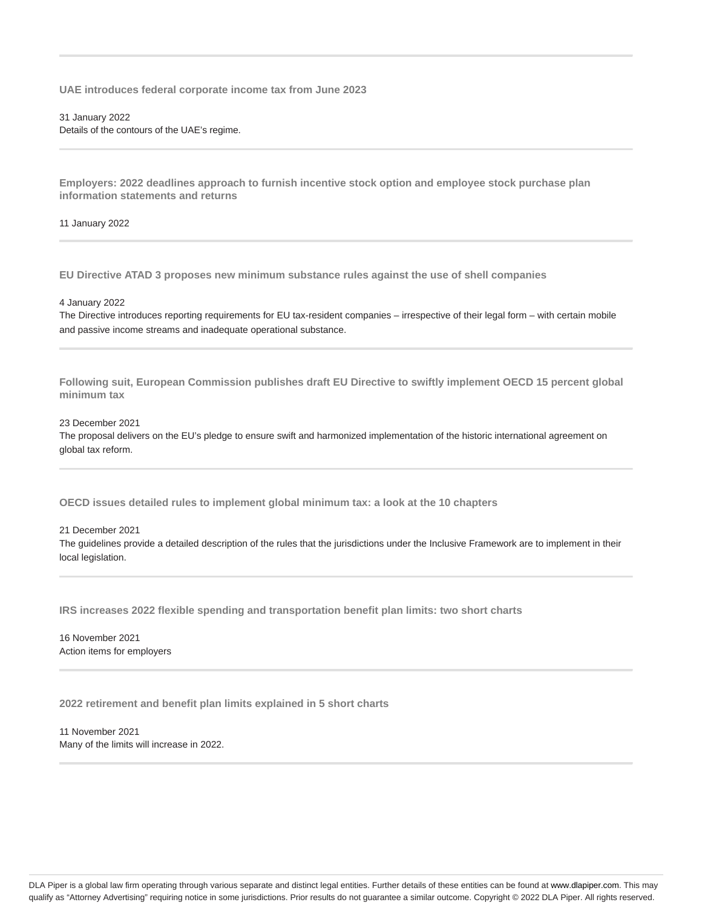**UAE introduces federal corporate income tax from June 2023**

31 January 2022 Details of the contours of the UAE's regime.

**Employers: 2022 deadlines approach to furnish incentive stock option and employee stock purchase plan information statements and returns**

11 January 2022

**EU Directive ATAD 3 proposes new minimum substance rules against the use of shell companies**

4 January 2022

The Directive introduces reporting requirements for EU tax-resident companies – irrespective of their legal form – with certain mobile and passive income streams and inadequate operational substance.

**Following suit, European Commission publishes draft EU Directive to swiftly implement OECD 15 percent global minimum tax**

23 December 2021

The proposal delivers on the EU's pledge to ensure swift and harmonized implementation of the historic international agreement on global tax reform.

**OECD issues detailed rules to implement global minimum tax: a look at the 10 chapters**

21 December 2021

The guidelines provide a detailed description of the rules that the jurisdictions under the Inclusive Framework are to implement in their local legislation.

**IRS increases 2022 flexible spending and transportation benefit plan limits: two short charts**

16 November 2021 Action items for employers

**2022 retirement and benefit plan limits explained in 5 short charts**

11 November 2021 Many of the limits will increase in 2022.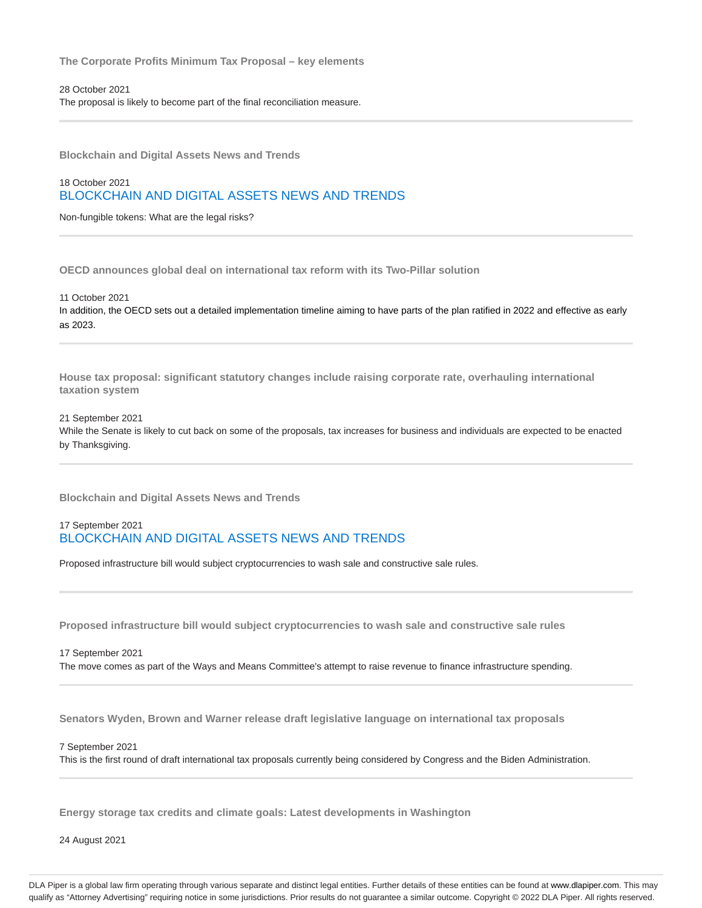**The Corporate Profits Minimum Tax Proposal – key elements**

28 October 2021 The proposal is likely to become part of the final reconciliation measure.

**Blockchain and Digital Assets News and Trends**

18 October 2021 BLOCKCHAIN AND DIGITAL ASSETS NEWS AND TRENDS

Non-fungible tokens: What are the legal risks?

**OECD announces global deal on international tax reform with its Two-Pillar solution**

11 October 2021 In addition, the OECD sets out a detailed implementation timeline aiming to have parts of the plan ratified in 2022 and effective as early as 2023.

**House tax proposal: significant statutory changes include raising corporate rate, overhauling international taxation system**

#### 21 September 2021

While the Senate is likely to cut back on some of the proposals, tax increases for business and individuals are expected to be enacted by Thanksgiving.

**Blockchain and Digital Assets News and Trends**

### 17 September 2021 BLOCKCHAIN AND DIGITAL ASSETS NEWS AND TRENDS

Proposed infrastructure bill would subject cryptocurrencies to wash sale and constructive sale rules.

**Proposed infrastructure bill would subject cryptocurrencies to wash sale and constructive sale rules**

17 September 2021 The move comes as part of the Ways and Means Committee's attempt to raise revenue to finance infrastructure spending.

**Senators Wyden, Brown and Warner release draft legislative language on international tax proposals**

7 September 2021

This is the first round of draft international tax proposals currently being considered by Congress and the Biden Administration.

**Energy storage tax credits and climate goals: Latest developments in Washington**

24 August 2021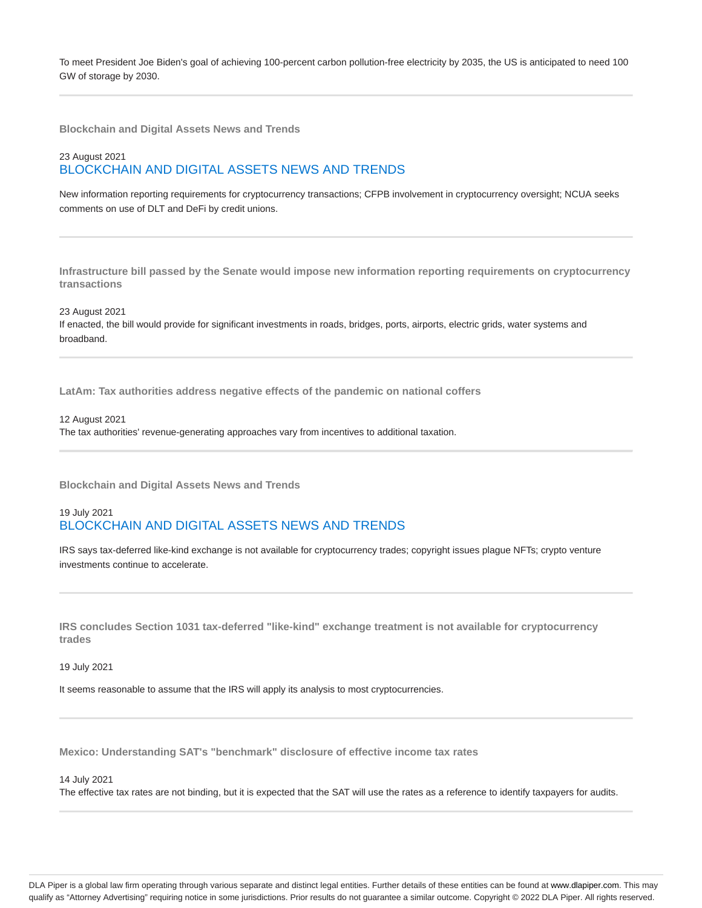To meet President Joe Biden's goal of achieving 100-percent carbon pollution-free electricity by 2035, the US is anticipated to need 100 GW of storage by 2030.

**Blockchain and Digital Assets News and Trends**

### 23 August 2021 BLOCKCHAIN AND DIGITAL ASSETS NEWS AND TRENDS

New information reporting requirements for cryptocurrency transactions; CFPB involvement in cryptocurrency oversight; NCUA seeks comments on use of DLT and DeFi by credit unions.

**Infrastructure bill passed by the Senate would impose new information reporting requirements on cryptocurrency transactions**

23 August 2021 If enacted, the bill would provide for significant investments in roads, bridges, ports, airports, electric grids, water systems and broadband.

**LatAm: Tax authorities address negative effects of the pandemic on national coffers**

12 August 2021 The tax authorities' revenue-generating approaches vary from incentives to additional taxation.

**Blockchain and Digital Assets News and Trends**

### 19 July 2021 BLOCKCHAIN AND DIGITAL ASSETS NEWS AND TRENDS

IRS says tax-deferred like-kind exchange is not available for cryptocurrency trades; copyright issues plague NFTs; crypto venture investments continue to accelerate.

**IRS concludes Section 1031 tax-deferred "like-kind" exchange treatment is not available for cryptocurrency trades**

19 July 2021

It seems reasonable to assume that the IRS will apply its analysis to most cryptocurrencies.

**Mexico: Understanding SAT's "benchmark" disclosure of effective income tax rates**

14 July 2021

The effective tax rates are not binding, but it is expected that the SAT will use the rates as a reference to identify taxpayers for audits.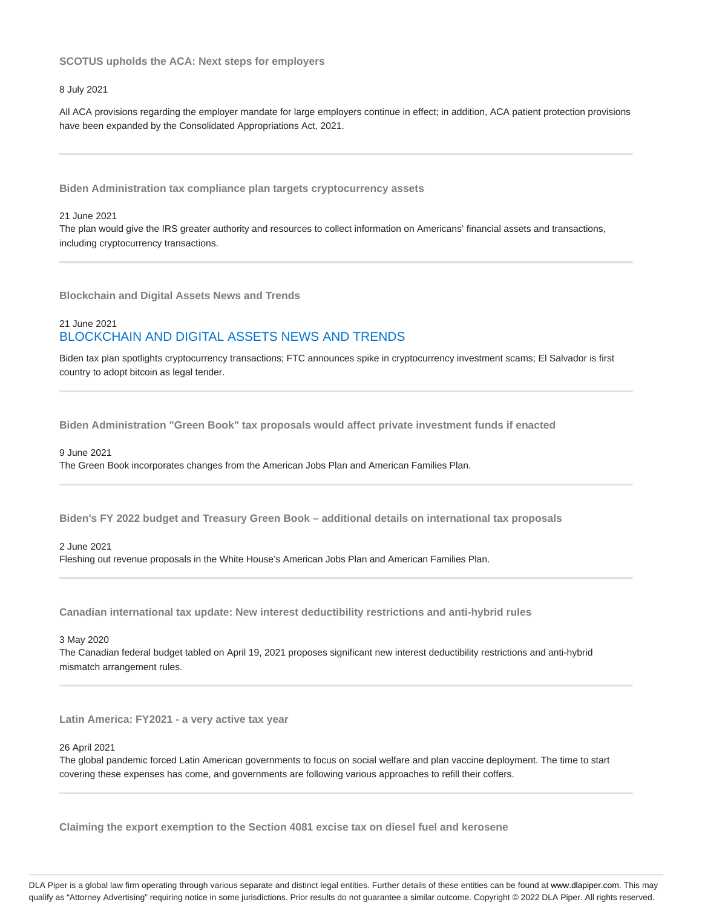#### **SCOTUS upholds the ACA: Next steps for employers**

#### 8 July 2021

All ACA provisions regarding the employer mandate for large employers continue in effect; in addition, ACA patient protection provisions have been expanded by the Consolidated Appropriations Act, 2021.

**Biden Administration tax compliance plan targets cryptocurrency assets**

#### 21 June 2021

The plan would give the IRS greater authority and resources to collect information on Americans' financial assets and transactions, including cryptocurrency transactions.

**Blockchain and Digital Assets News and Trends**

### 21 June 2021 BLOCKCHAIN AND DIGITAL ASSETS NEWS AND TRENDS

Biden tax plan spotlights cryptocurrency transactions; FTC announces spike in cryptocurrency investment scams; El Salvador is first country to adopt bitcoin as legal tender.

**Biden Administration "Green Book" tax proposals would affect private investment funds if enacted**

#### 9 June 2021

The Green Book incorporates changes from the American Jobs Plan and American Families Plan.

**Biden's FY 2022 budget and Treasury Green Book – additional details on international tax proposals**

#### 2 June 2021

Fleshing out revenue proposals in the White House's American Jobs Plan and American Families Plan.

**Canadian international tax update: New interest deductibility restrictions and anti-hybrid rules**

#### 3 May 2020

The Canadian federal budget tabled on April 19, 2021 proposes significant new interest deductibility restrictions and anti-hybrid mismatch arrangement rules.

**Latin America: FY2021 - a very active tax year**

#### 26 April 2021

The global pandemic forced Latin American governments to focus on social welfare and plan vaccine deployment. The time to start covering these expenses has come, and governments are following various approaches to refill their coffers.

**Claiming the export exemption to the Section 4081 excise tax on diesel fuel and kerosene**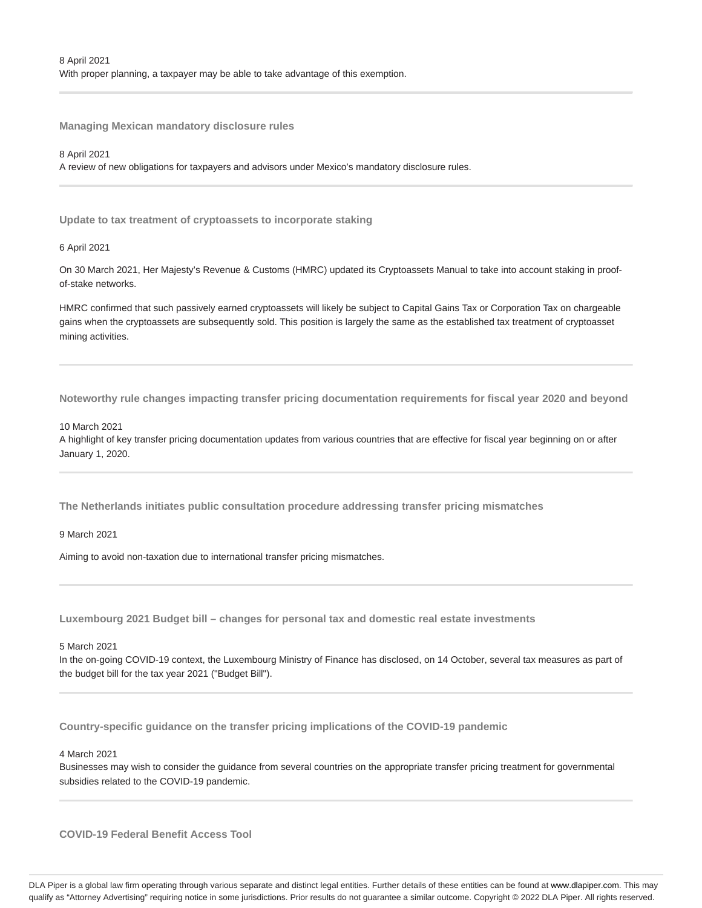**Managing Mexican mandatory disclosure rules**

8 April 2021

A review of new obligations for taxpayers and advisors under Mexico's mandatory disclosure rules.

**Update to tax treatment of cryptoassets to incorporate staking**

6 April 2021

On 30 March 2021, Her Majesty's Revenue & Customs (HMRC) updated its Cryptoassets Manual to take into account staking in proofof-stake networks.

HMRC confirmed that such passively earned cryptoassets will likely be subject to Capital Gains Tax or Corporation Tax on chargeable gains when the cryptoassets are subsequently sold. This position is largely the same as the established tax treatment of cryptoasset mining activities.

**Noteworthy rule changes impacting transfer pricing documentation requirements for fiscal year 2020 and beyond**

#### 10 March 2021

A highlight of key transfer pricing documentation updates from various countries that are effective for fiscal year beginning on or after January 1, 2020.

**The Netherlands initiates public consultation procedure addressing transfer pricing mismatches**

9 March 2021

Aiming to avoid non-taxation due to international transfer pricing mismatches.

**Luxembourg 2021 Budget bill – changes for personal tax and domestic real estate investments**

5 March 2021

In the on-going COVID-19 context, the Luxembourg Ministry of Finance has disclosed, on 14 October, several tax measures as part of the budget bill for the tax year 2021 ("Budget Bill").

**Country-specific guidance on the transfer pricing implications of the COVID-19 pandemic**

4 March 2021

Businesses may wish to consider the guidance from several countries on the appropriate transfer pricing treatment for governmental subsidies related to the COVID-19 pandemic.

**COVID-19 Federal Benefit Access Tool**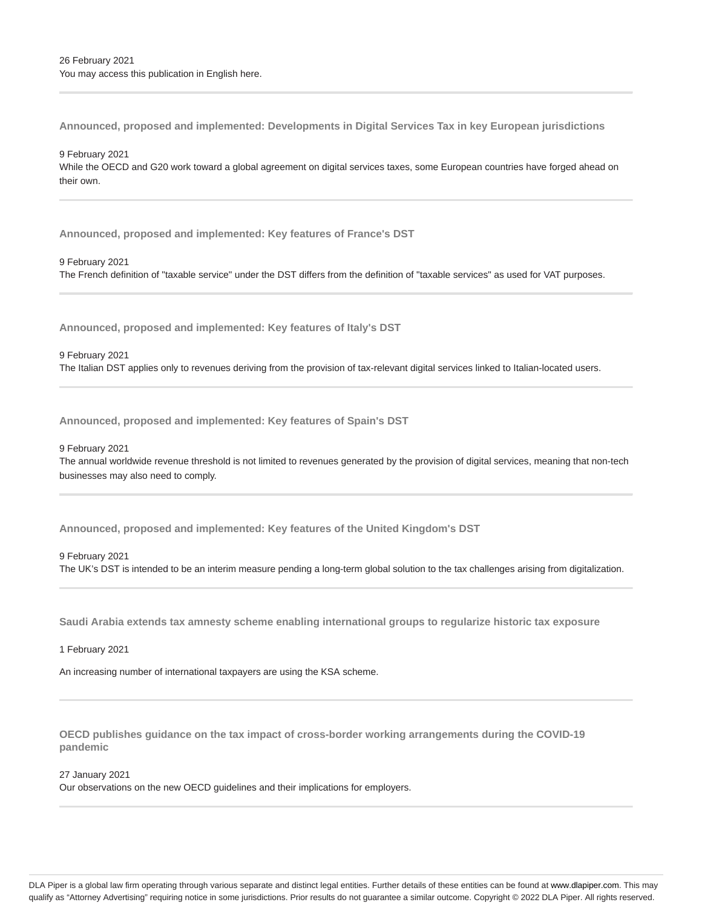**Announced, proposed and implemented: Developments in Digital Services Tax in key European jurisdictions**

9 February 2021 While the OECD and G20 work toward a global agreement on digital services taxes, some European countries have forged ahead on their own.

**Announced, proposed and implemented: Key features of France's DST**

9 February 2021 The French definition of "taxable service" under the DST differs from the definition of "taxable services" as used for VAT purposes.

**Announced, proposed and implemented: Key features of Italy's DST**

9 February 2021 The Italian DST applies only to revenues deriving from the provision of tax-relevant digital services linked to Italian-located users.

**Announced, proposed and implemented: Key features of Spain's DST**

9 February 2021

The annual worldwide revenue threshold is not limited to revenues generated by the provision of digital services, meaning that non-tech businesses may also need to comply.

**Announced, proposed and implemented: Key features of the United Kingdom's DST**

9 February 2021

The UK's DST is intended to be an interim measure pending a long-term global solution to the tax challenges arising from digitalization.

**Saudi Arabia extends tax amnesty scheme enabling international groups to regularize historic tax exposure**

1 February 2021

An increasing number of international taxpayers are using the KSA scheme.

**OECD publishes guidance on the tax impact of cross-border working arrangements during the COVID-19 pandemic**

27 January 2021

Our observations on the new OECD guidelines and their implications for employers.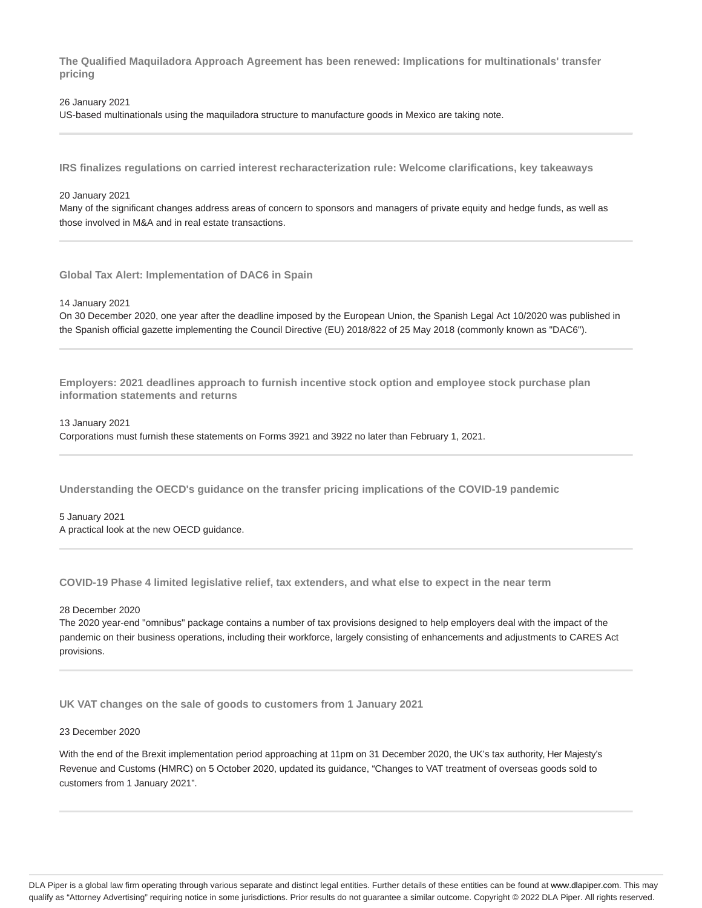**The Qualified Maquiladora Approach Agreement has been renewed: Implications for multinationals' transfer pricing**

### 26 January 2021 US-based multinationals using the maquiladora structure to manufacture goods in Mexico are taking note.

**IRS finalizes regulations on carried interest recharacterization rule: Welcome clarifications, key takeaways**

#### 20 January 2021

Many of the significant changes address areas of concern to sponsors and managers of private equity and hedge funds, as well as those involved in M&A and in real estate transactions.

**Global Tax Alert: Implementation of DAC6 in Spain**

14 January 2021

On 30 December 2020, one year after the deadline imposed by the European Union, the Spanish Legal Act 10/2020 was published in the Spanish official gazette implementing the Council Directive (EU) 2018/822 of 25 May 2018 (commonly known as "DAC6").

**Employers: 2021 deadlines approach to furnish incentive stock option and employee stock purchase plan information statements and returns**

13 January 2021

Corporations must furnish these statements on Forms 3921 and 3922 no later than February 1, 2021.

**Understanding the OECD's guidance on the transfer pricing implications of the COVID-19 pandemic**

#### 5 January 2021 A practical look at the new OECD guidance.

**COVID-19 Phase 4 limited legislative relief, tax extenders, and what else to expect in the near term**

28 December 2020

The 2020 year-end "omnibus" package contains a number of tax provisions designed to help employers deal with the impact of the pandemic on their business operations, including their workforce, largely consisting of enhancements and adjustments to CARES Act provisions.

**UK VAT changes on the sale of goods to customers from 1 January 2021**

#### 23 December 2020

With the end of the Brexit implementation period approaching at 11pm on 31 December 2020, the UK's tax authority, Her Majesty's Revenue and Customs (HMRC) on 5 October 2020, updated its guidance, "Changes to VAT treatment of overseas goods sold to customers from 1 January 2021".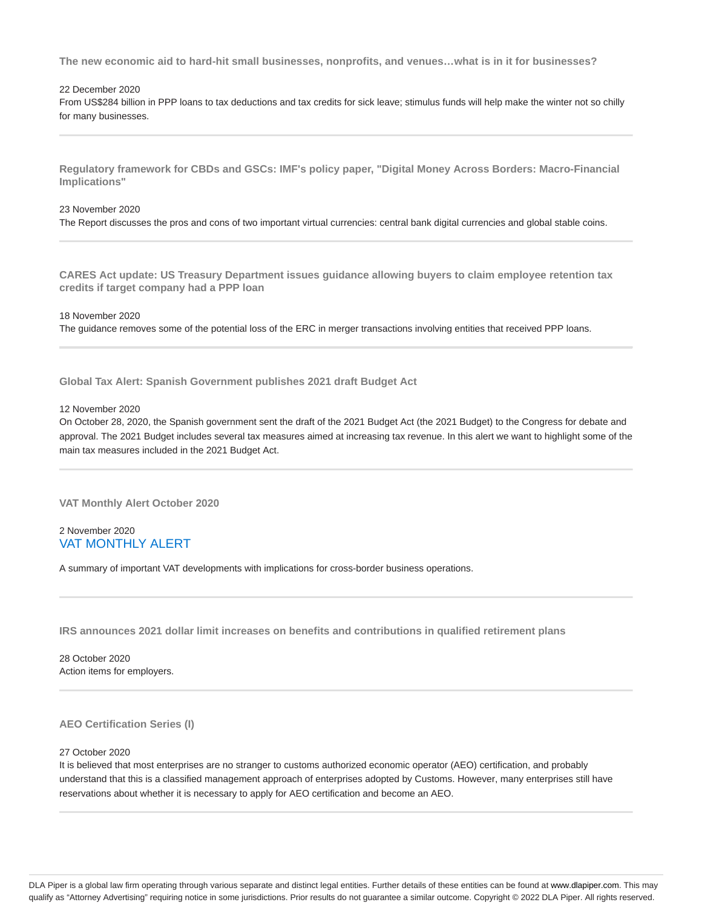**The new economic aid to hard-hit small businesses, nonprofits, and venues…what is in it for businesses?**

#### 22 December 2020

From US\$284 billion in PPP loans to tax deductions and tax credits for sick leave; stimulus funds will help make the winter not so chilly for many businesses.

**Regulatory framework for CBDs and GSCs: IMF's policy paper, "Digital Money Across Borders: Macro-Financial Implications"**

#### 23 November 2020

The Report discusses the pros and cons of two important virtual currencies: central bank digital currencies and global stable coins.

**CARES Act update: US Treasury Department issues guidance allowing buyers to claim employee retention tax credits if target company had a PPP loan**

#### 18 November 2020

The guidance removes some of the potential loss of the ERC in merger transactions involving entities that received PPP loans.

**Global Tax Alert: Spanish Government publishes 2021 draft Budget Act**

#### 12 November 2020

On October 28, 2020, the Spanish government sent the draft of the 2021 Budget Act (the 2021 Budget) to the Congress for debate and approval. The 2021 Budget includes several tax measures aimed at increasing tax revenue. In this alert we want to highlight some of the main tax measures included in the 2021 Budget Act.

**VAT Monthly Alert October 2020**

### 2 November 2020 VAT MONTHLY ALERT

A summary of important VAT developments with implications for cross-border business operations.

**IRS announces 2021 dollar limit increases on benefits and contributions in qualified retirement plans**

28 October 2020 Action items for employers.

#### **AEO Certification Series (I)**

#### 27 October 2020

It is believed that most enterprises are no stranger to customs authorized economic operator (AEO) certification, and probably understand that this is a classified management approach of enterprises adopted by Customs. However, many enterprises still have reservations about whether it is necessary to apply for AEO certification and become an AEO.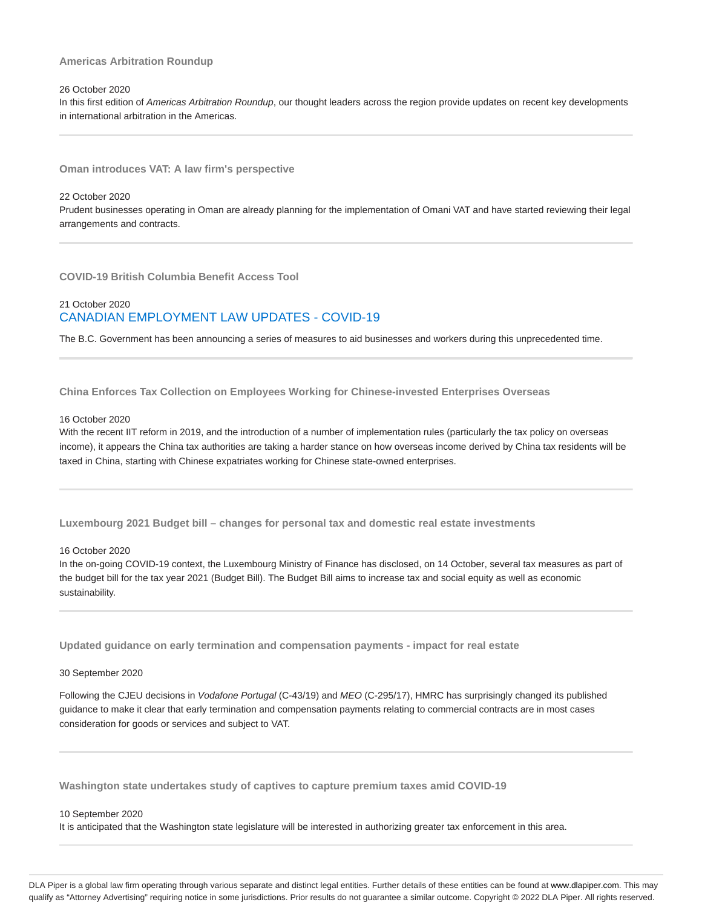#### **Americas Arbitration Roundup**

#### 26 October 2020

In this first edition of Americas Arbitration Roundup, our thought leaders across the region provide updates on recent key developments in international arbitration in the Americas.

**Oman introduces VAT: A law firm's perspective**

#### 22 October 2020

Prudent businesses operating in Oman are already planning for the implementation of Omani VAT and have started reviewing their legal arrangements and contracts.

**COVID-19 British Columbia Benefit Access Tool**

### 21 October 2020 CANADIAN EMPLOYMENT LAW UPDATES - COVID-19

The B.C. Government has been announcing a series of measures to aid businesses and workers during this unprecedented time.

**China Enforces Tax Collection on Employees Working for Chinese-invested Enterprises Overseas**

#### 16 October 2020

With the recent IIT reform in 2019, and the introduction of a number of implementation rules (particularly the tax policy on overseas income), it appears the China tax authorities are taking a harder stance on how overseas income derived by China tax residents will be taxed in China, starting with Chinese expatriates working for Chinese state-owned enterprises.

**Luxembourg 2021 Budget bill – changes for personal tax and domestic real estate investments**

16 October 2020

In the on-going COVID-19 context, the Luxembourg Ministry of Finance has disclosed, on 14 October, several tax measures as part of the budget bill for the tax year 2021 (Budget Bill). The Budget Bill aims to increase tax and social equity as well as economic sustainability.

**Updated guidance on early termination and compensation payments - impact for real estate**

#### 30 September 2020

Following the CJEU decisions in Vodafone Portugal (C-43/19) and MEO (C-295/17), HMRC has surprisingly changed its published guidance to make it clear that early termination and compensation payments relating to commercial contracts are in most cases consideration for goods or services and subject to VAT.

**Washington state undertakes study of captives to capture premium taxes amid COVID-19**

#### 10 September 2020

It is anticipated that the Washington state legislature will be interested in authorizing greater tax enforcement in this area.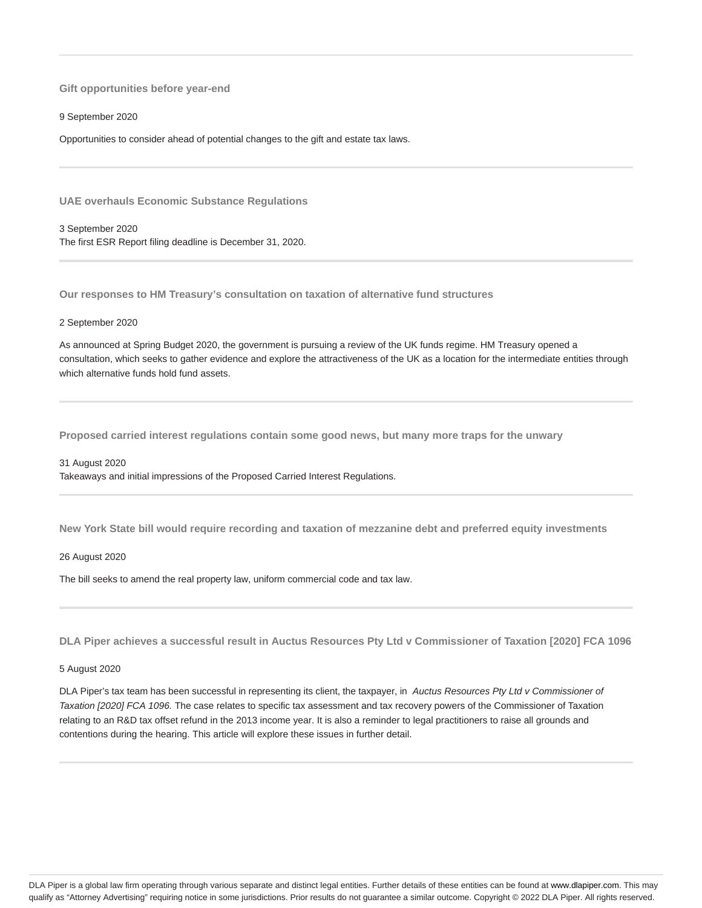**Gift opportunities before year-end**

9 September 2020

Opportunities to consider ahead of potential changes to the gift and estate tax laws.

**UAE overhauls Economic Substance Regulations**

3 September 2020 The first ESR Report filing deadline is December 31, 2020.

**Our responses to HM Treasury's consultation on taxation of alternative fund structures**

#### 2 September 2020

As announced at Spring Budget 2020, the government is pursuing a review of the UK funds regime. HM Treasury opened a consultation, which seeks to gather evidence and explore the attractiveness of the UK as a location for the intermediate entities through which alternative funds hold fund assets.

**Proposed carried interest regulations contain some good news, but many more traps for the unwary**

#### 31 August 2020

Takeaways and initial impressions of the Proposed Carried Interest Regulations.

**New York State bill would require recording and taxation of mezzanine debt and preferred equity investments**

#### 26 August 2020

The bill seeks to amend the real property law, uniform commercial code and tax law.

**DLA Piper achieves a successful result in Auctus Resources Pty Ltd v Commissioner of Taxation [2020] FCA 1096**

#### 5 August 2020

DLA Piper's tax team has been successful in representing its client, the taxpayer, in Auctus Resources Pty Ltd v Commissioner of Taxation [2020] FCA 1096. The case relates to specific tax assessment and tax recovery powers of the Commissioner of Taxation relating to an R&D tax offset refund in the 2013 income year. It is also a reminder to legal practitioners to raise all grounds and contentions during the hearing. This article will explore these issues in further detail.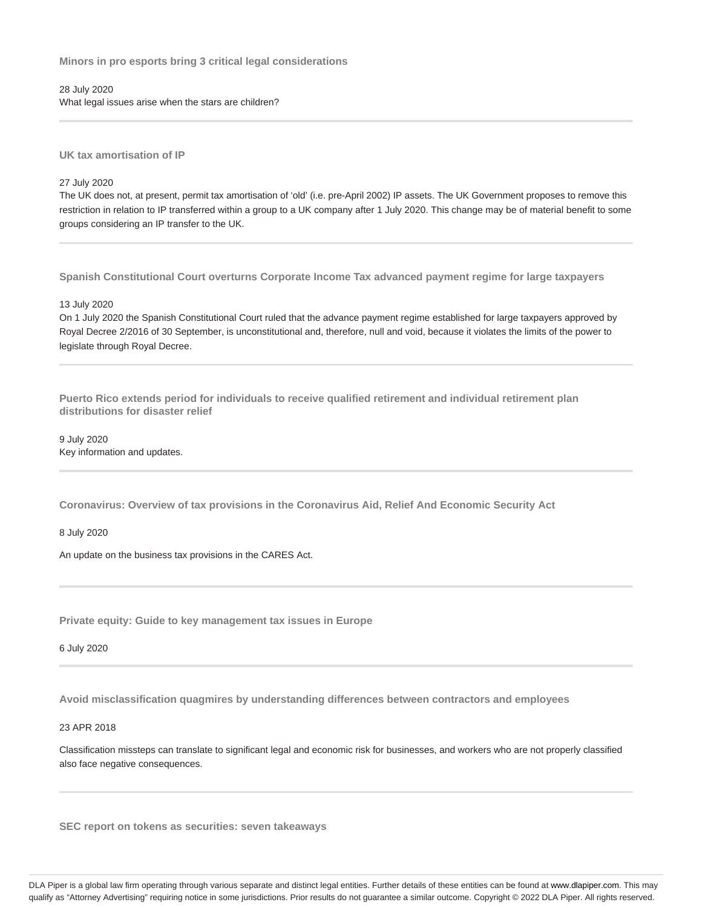**Minors in pro esports bring 3 critical legal considerations**

28 July 2020 What legal issues arise when the stars are children?

**UK tax amortisation of IP**

27 July 2020

The UK does not, at present, permit tax amortisation of 'old' (i.e. pre-April 2002) IP assets. The UK Government proposes to remove this restriction in relation to IP transferred within a group to a UK company after 1 July 2020. This change may be of material benefit to some groups considering an IP transfer to the UK.

**Spanish Constitutional Court overturns Corporate Income Tax advanced payment regime for large taxpayers**

13 July 2020

On 1 July 2020 the Spanish Constitutional Court ruled that the advance payment regime established for large taxpayers approved by Royal Decree 2/2016 of 30 September, is unconstitutional and, therefore, null and void, because it violates the limits of the power to legislate through Royal Decree.

**Puerto Rico extends period for individuals to receive qualified retirement and individual retirement plan distributions for disaster relief**

9 July 2020 Key information and updates.

**Coronavirus: Overview of tax provisions in the Coronavirus Aid, Relief And Economic Security Act**

8 July 2020

An update on the business tax provisions in the CARES Act.

**Private equity: Guide to key management tax issues in Europe**

6 July 2020

**Avoid misclassification quagmires by understanding differences between contractors and employees**

23 APR 2018

Classification missteps can translate to significant legal and economic risk for businesses, and workers who are not properly classified also face negative consequences.

**SEC report on tokens as securities: seven takeaways**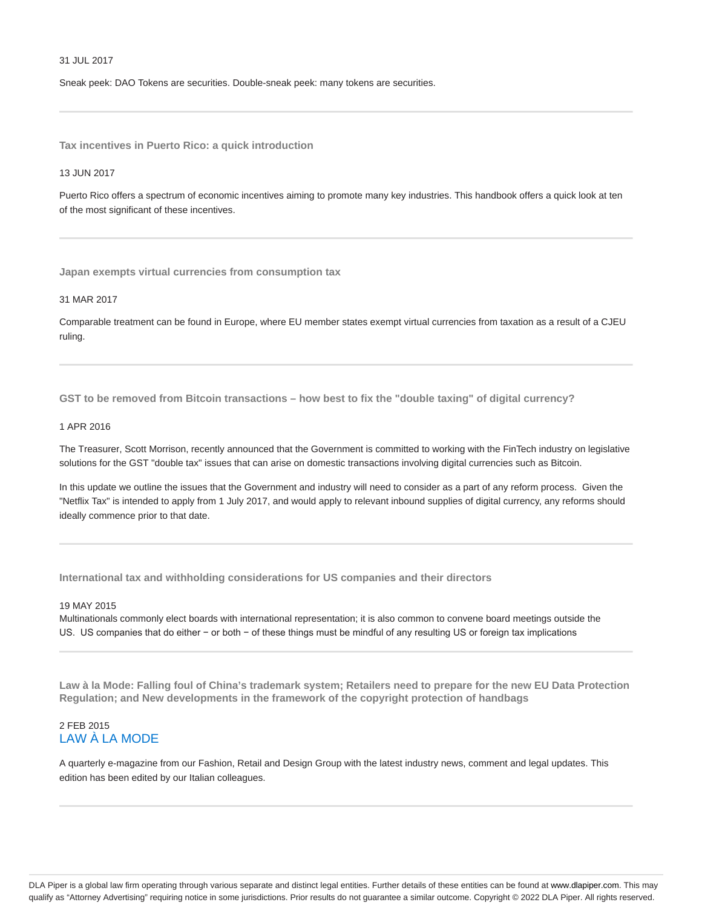#### 31 JUL 2017

Sneak peek: DAO Tokens are securities. Double-sneak peek: many tokens are securities.

**Tax incentives in Puerto Rico: a quick introduction**

#### 13 JUN 2017

Puerto Rico offers a spectrum of economic incentives aiming to promote many key industries. This handbook offers a quick look at ten of the most significant of these incentives.

**Japan exempts virtual currencies from consumption tax**

#### 31 MAR 2017

Comparable treatment can be found in Europe, where EU member states exempt virtual currencies from taxation as a result of a CJEU ruling.

**GST to be removed from Bitcoin transactions – how best to fix the "double taxing" of digital currency?**

#### 1 APR 2016

The Treasurer, Scott Morrison, recently announced that the Government is committed to working with the FinTech industry on legislative solutions for the GST "double tax" issues that can arise on domestic transactions involving digital currencies such as Bitcoin.

In this update we outline the issues that the Government and industry will need to consider as a part of any reform process. Given the "Netflix Tax" is intended to apply from 1 July 2017, and would apply to relevant inbound supplies of digital currency, any reforms should ideally commence prior to that date.

**International tax and withholding considerations for US companies and their directors**

#### 19 MAY 2015

Multinationals commonly elect boards with international representation; it is also common to convene board meetings outside the US. US companies that do either − or both − of these things must be mindful of any resulting US or foreign tax implications

**Law à la Mode: Falling foul of China's trademark system; Retailers need to prepare for the new EU Data Protection Regulation; and New developments in the framework of the copyright protection of handbags**

### 2 FEB 2015 LAW À LA MODE

A quarterly e-magazine from our Fashion, Retail and Design Group with the latest industry news, comment and legal updates. This edition has been edited by our Italian colleagues.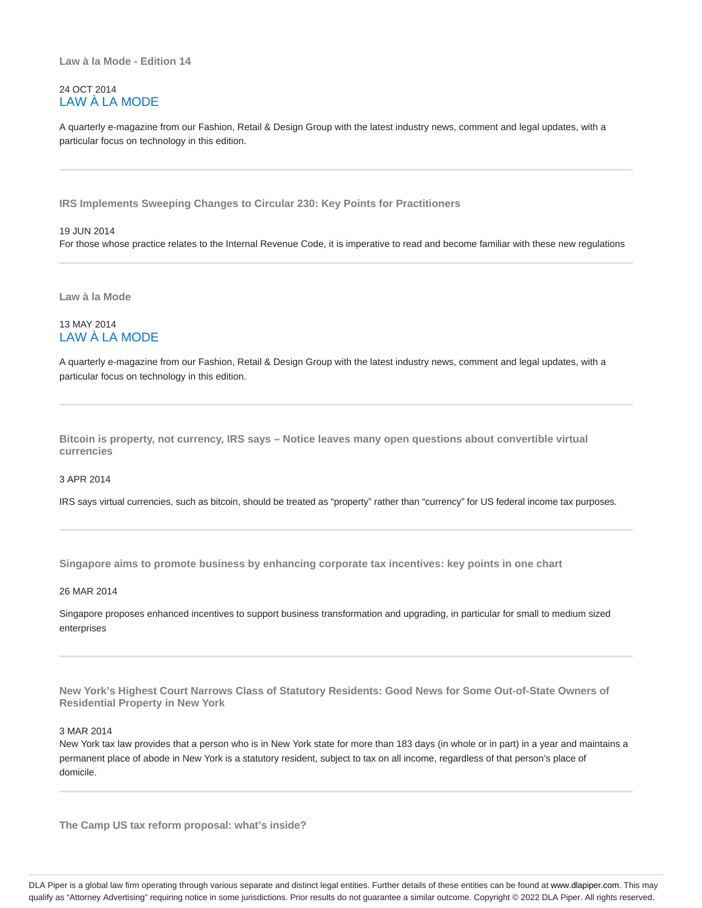### 24 OCT 2014 LAW À LA MODE

A quarterly e-magazine from our Fashion, Retail & Design Group with the latest industry news, comment and legal updates, with a particular focus on technology in this edition.

**IRS Implements Sweeping Changes to Circular 230: Key Points for Practitioners**

#### 19 JUN 2014

For those whose practice relates to the Internal Revenue Code, it is imperative to read and become familiar with these new regulations

**Law à la Mode**

### 13 MAY 2014 LAW À LA MODE

A quarterly e-magazine from our Fashion, Retail & Design Group with the latest industry news, comment and legal updates, with a particular focus on technology in this edition.

**Bitcoin is property, not currency, IRS says – Notice leaves many open questions about convertible virtual currencies**

#### 3 APR 2014

IRS says virtual currencies, such as bitcoin, should be treated as "property" rather than "currency" for US federal income tax purposes.

**Singapore aims to promote business by enhancing corporate tax incentives: key points in one chart**

#### 26 MAR 2014

Singapore proposes enhanced incentives to support business transformation and upgrading, in particular for small to medium sized enterprises

**New York's Highest Court Narrows Class of Statutory Residents: Good News for Some Out-of-State Owners of Residential Property in New York**

### 3 MAR 2014

New York tax law provides that a person who is in New York state for more than 183 days (in whole or in part) in a year and maintains a permanent place of abode in New York is a statutory resident, subject to tax on all income, regardless of that person's place of domicile.

**The Camp US tax reform proposal: what's inside?**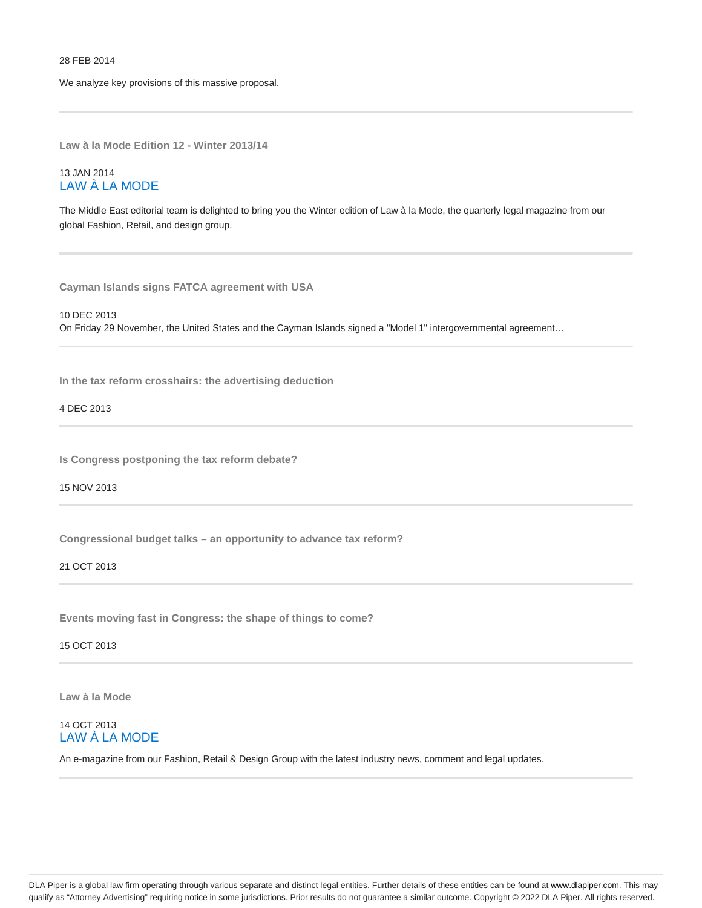We analyze key provisions of this massive proposal.

**Law à la Mode Edition 12 - Winter 2013/14**

### 13 JAN 2014 LAW À LA MODE

The Middle East editorial team is delighted to bring you the Winter edition of Law à la Mode, the quarterly legal magazine from our global Fashion, Retail, and design group.

**Cayman Islands signs FATCA agreement with USA**

10 DEC 2013 On Friday 29 November, the United States and the Cayman Islands signed a "Model 1" intergovernmental agreement…

**In the tax reform crosshairs: the advertising deduction**

4 DEC 2013

**Is Congress postponing the tax reform debate?**

15 NOV 2013

**Congressional budget talks – an opportunity to advance tax reform?**

21 OCT 2013

**Events moving fast in Congress: the shape of things to come?**

15 OCT 2013

**Law à la Mode**

### 14 OCT 2013 LAW À LA MODE

An e-magazine from our Fashion, Retail & Design Group with the latest industry news, comment and legal updates.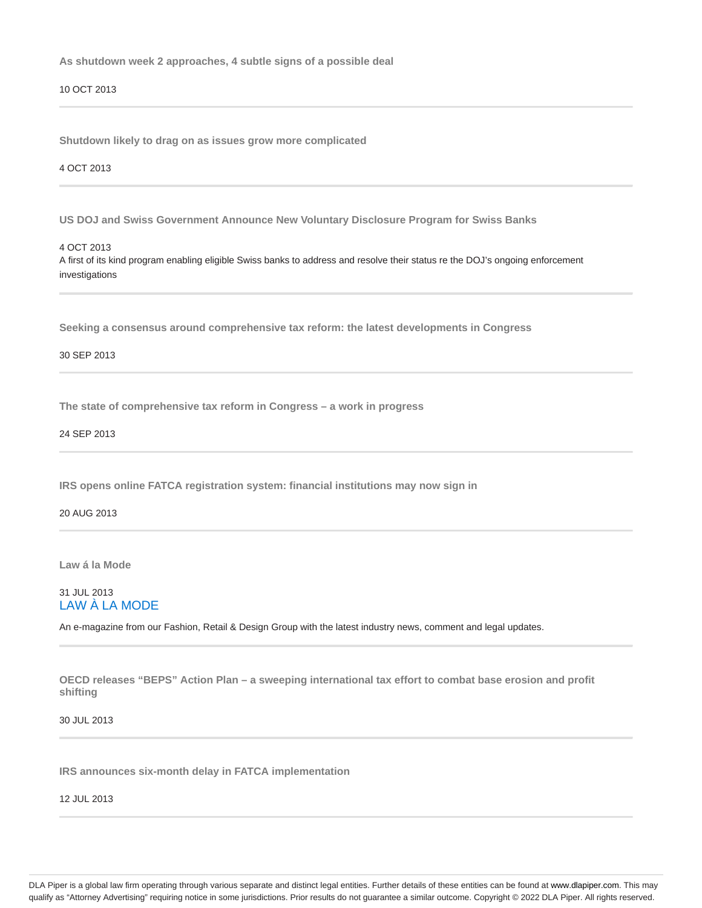**As shutdown week 2 approaches, 4 subtle signs of a possible deal**

10 OCT 2013

**Shutdown likely to drag on as issues grow more complicated**

4 OCT 2013

**US DOJ and Swiss Government Announce New Voluntary Disclosure Program for Swiss Banks**

4 OCT 2013

A first of its kind program enabling eligible Swiss banks to address and resolve their status re the DOJ's ongoing enforcement investigations

**Seeking a consensus around comprehensive tax reform: the latest developments in Congress**

30 SEP 2013

**The state of comprehensive tax reform in Congress – a work in progress**

24 SEP 2013

**IRS opens online FATCA registration system: financial institutions may now sign in**

20 AUG 2013

**Law á la Mode**

### 31 JUL 2013 LAW À LA MODE

An e-magazine from our Fashion, Retail & Design Group with the latest industry news, comment and legal updates.

**OECD releases "BEPS" Action Plan – a sweeping international tax effort to combat base erosion and profit shifting**

30 JUL 2013

**IRS announces six-month delay in FATCA implementation**

12 JUL 2013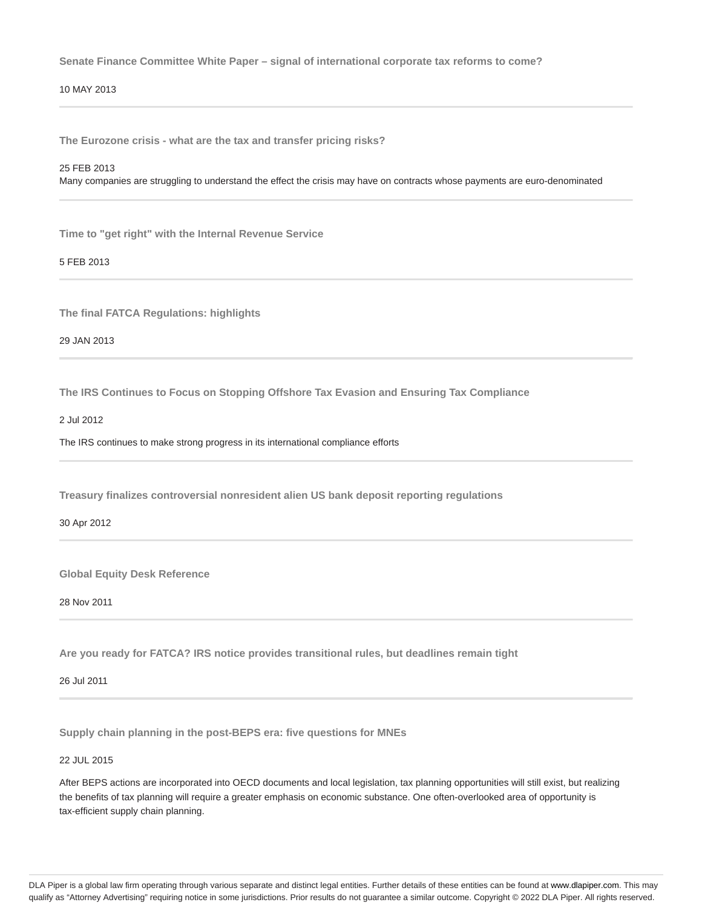**Senate Finance Committee White Paper – signal of international corporate tax reforms to come?**

### 10 MAY 2013

**The Eurozone crisis - what are the tax and transfer pricing risks?**

#### 25 FEB 2013

Many companies are struggling to understand the effect the crisis may have on contracts whose payments are euro-denominated

**Time to "get right" with the Internal Revenue Service**

5 FEB 2013

**The final FATCA Regulations: highlights**

29 JAN 2013

**The IRS Continues to Focus on Stopping Offshore Tax Evasion and Ensuring Tax Compliance**

2 Jul 2012

The IRS continues to make strong progress in its international compliance efforts

**Treasury finalizes controversial nonresident alien US bank deposit reporting regulations**

30 Apr 2012

**Global Equity Desk Reference**

28 Nov 2011

**Are you ready for FATCA? IRS notice provides transitional rules, but deadlines remain tight**

26 Jul 2011

**Supply chain planning in the post-BEPS era: five questions for MNEs**

22 JUL 2015

After BEPS actions are incorporated into OECD documents and local legislation, tax planning opportunities will still exist, but realizing the benefits of tax planning will require a greater emphasis on economic substance. One often-overlooked area of opportunity is tax-efficient supply chain planning.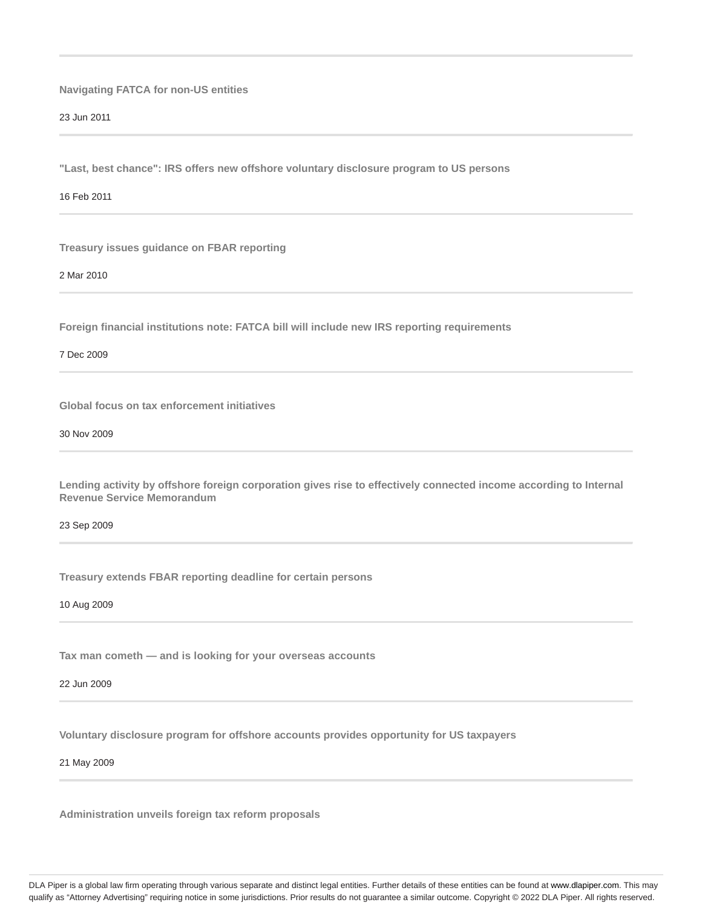**Navigating FATCA for non-US entities**

23 Jun 2011

**"Last, best chance": IRS offers new offshore voluntary disclosure program to US persons**

16 Feb 2011

**Treasury issues guidance on FBAR reporting**

2 Mar 2010

**Foreign financial institutions note: FATCA bill will include new IRS reporting requirements**

7 Dec 2009

**Global focus on tax enforcement initiatives**

30 Nov 2009

**Lending activity by offshore foreign corporation gives rise to effectively connected income according to Internal Revenue Service Memorandum**

23 Sep 2009

**Treasury extends FBAR reporting deadline for certain persons**

10 Aug 2009

**Tax man cometh — and is looking for your overseas accounts**

22 Jun 2009

**Voluntary disclosure program for offshore accounts provides opportunity for US taxpayers**

21 May 2009

**Administration unveils foreign tax reform proposals**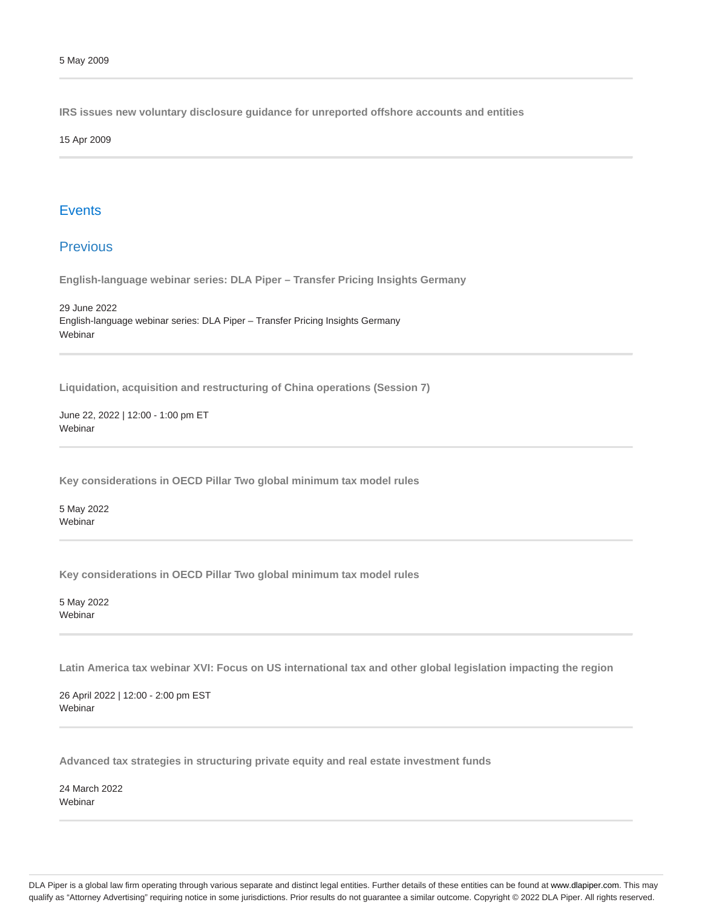**IRS issues new voluntary disclosure guidance for unreported offshore accounts and entities**

15 Apr 2009

### **Events**

### Previous

**English-language webinar series: DLA Piper – Transfer Pricing Insights Germany**

29 June 2022 English-language webinar series: DLA Piper – Transfer Pricing Insights Germany Webinar

**Liquidation, acquisition and restructuring of China operations (Session 7)**

June 22, 2022 | 12:00 - 1:00 pm ET **Webinar** 

**Key considerations in OECD Pillar Two global minimum tax model rules**

5 May 2022 Webinar

**Key considerations in OECD Pillar Two global minimum tax model rules**

5 May 2022 Webinar

**Latin America tax webinar XVI: Focus on US international tax and other global legislation impacting the region**

26 April 2022 | 12:00 - 2:00 pm EST **Webinar** 

**Advanced tax strategies in structuring private equity and real estate investment funds**

24 March 2022 **Webinar**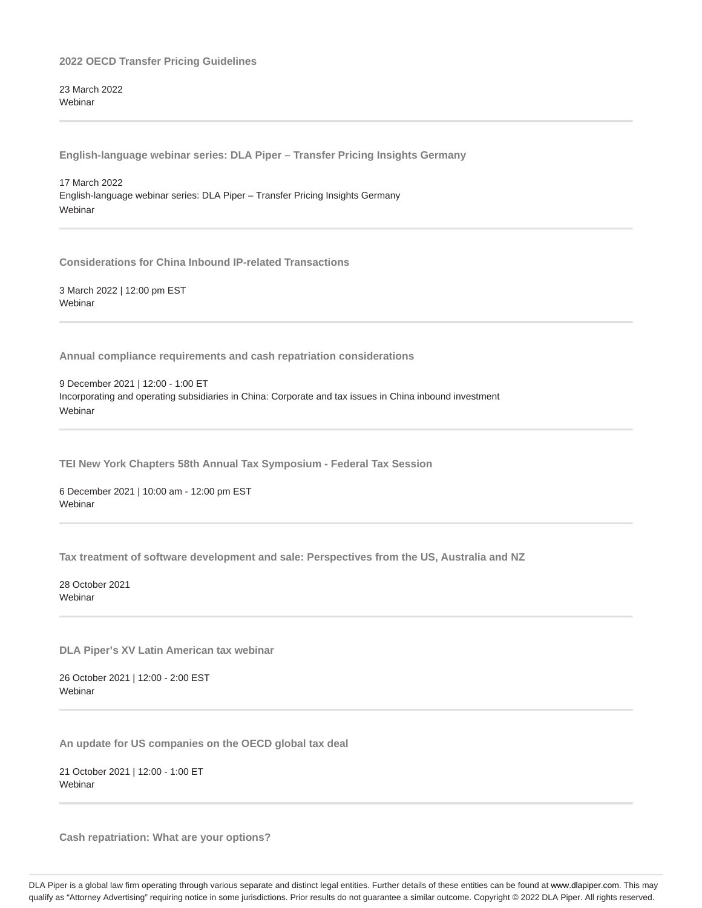23 March 2022 **Webinar** 

**English-language webinar series: DLA Piper – Transfer Pricing Insights Germany**

17 March 2022 English-language webinar series: DLA Piper – Transfer Pricing Insights Germany **Webinar** 

**Considerations for China Inbound IP-related Transactions**

3 March 2022 | 12:00 pm EST Webinar

**Annual compliance requirements and cash repatriation considerations**

9 December 2021 | 12:00 - 1:00 ET Incorporating and operating subsidiaries in China: Corporate and tax issues in China inbound investment Webinar

**TEI New York Chapters 58th Annual Tax Symposium - Federal Tax Session**

6 December 2021 | 10:00 am - 12:00 pm EST Webinar

**Tax treatment of software development and sale: Perspectives from the US, Australia and NZ**

28 October 2021 Webinar

**DLA Piper's XV Latin American tax webinar**

26 October 2021 | 12:00 - 2:00 EST **Webinar** 

**An update for US companies on the OECD global tax deal**

21 October 2021 | 12:00 - 1:00 ET **Webinar** 

**Cash repatriation: What are your options?**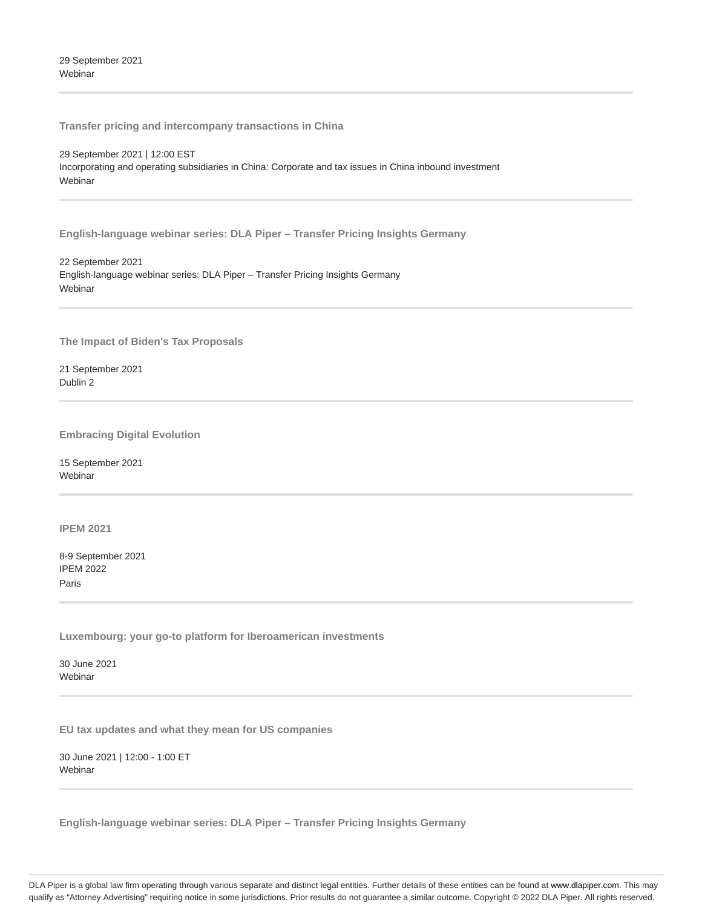29 September 2021 Webinar

**Transfer pricing and intercompany transactions in China**

29 September 2021 | 12:00 EST

Incorporating and operating subsidiaries in China: Corporate and tax issues in China inbound investment Webinar

**English-language webinar series: DLA Piper – Transfer Pricing Insights Germany**

22 September 2021 English-language webinar series: DLA Piper – Transfer Pricing Insights Germany **Webinar** 

**The Impact of Biden's Tax Proposals**

21 September 2021 Dublin 2

**Embracing Digital Evolution**

15 September 2021 **Webinar** 

**IPEM 2021**

8-9 September 2021 IPEM 2022 Paris

**Luxembourg: your go-to platform for Iberoamerican investments**

30 June 2021 Webinar

**EU tax updates and what they mean for US companies**

30 June 2021 | 12:00 - 1:00 ET Webinar

**English-language webinar series: DLA Piper – Transfer Pricing Insights Germany**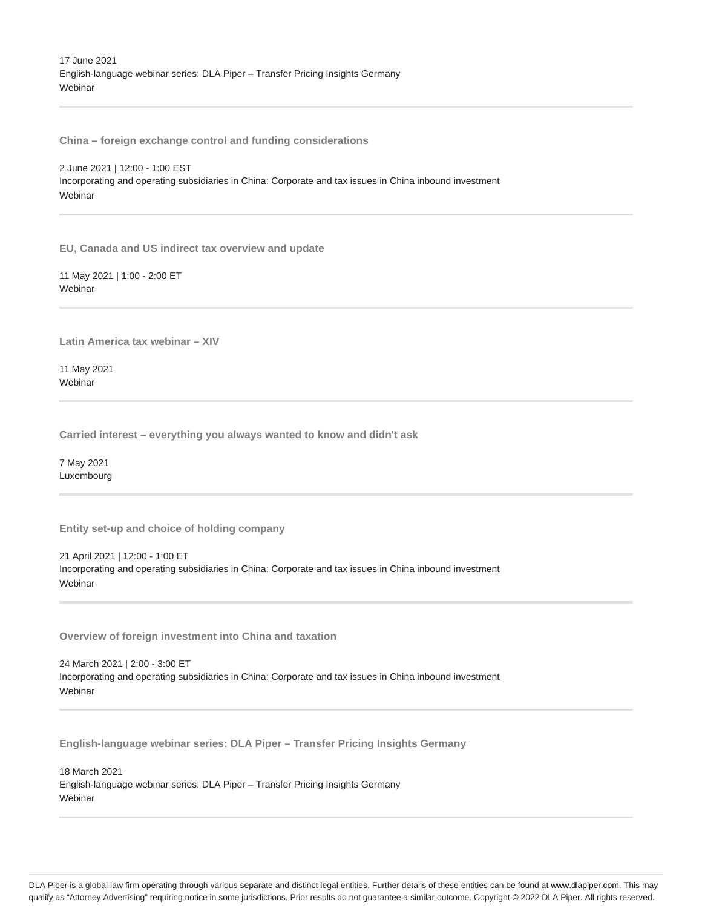17 June 2021 English-language webinar series: DLA Piper – Transfer Pricing Insights Germany **Webinar** 

**China – foreign exchange control and funding considerations**

2 June 2021 | 12:00 - 1:00 EST Incorporating and operating subsidiaries in China: Corporate and tax issues in China inbound investment Webinar

**EU, Canada and US indirect tax overview and update**

11 May 2021 | 1:00 - 2:00 ET **Webinar** 

**Latin America tax webinar – XIV**

11 May 2021 **Webinar** 

**Carried interest – everything you always wanted to know and didn't ask**

7 May 2021 Luxembourg

**Entity set-up and choice of holding company**

21 April 2021 | 12:00 - 1:00 ET Incorporating and operating subsidiaries in China: Corporate and tax issues in China inbound investment Webinar

**Overview of foreign investment into China and taxation**

24 March 2021 | 2:00 - 3:00 ET Incorporating and operating subsidiaries in China: Corporate and tax issues in China inbound investment Webinar

**English-language webinar series: DLA Piper – Transfer Pricing Insights Germany**

18 March 2021 English-language webinar series: DLA Piper – Transfer Pricing Insights Germany Webinar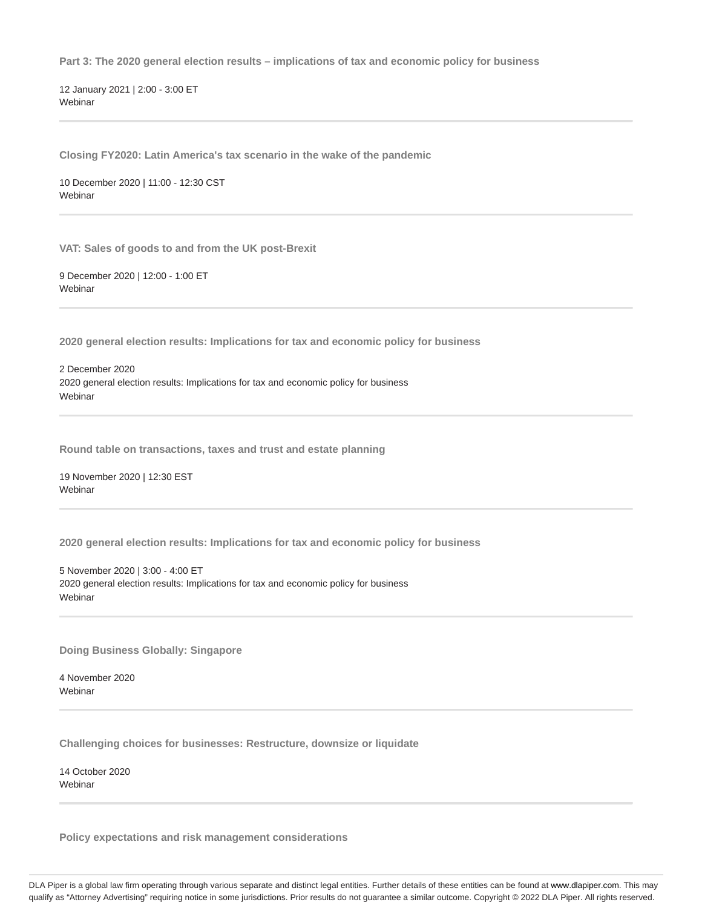**Part 3: The 2020 general election results – implications of tax and economic policy for business**

12 January 2021 | 2:00 - 3:00 ET Webinar

**Closing FY2020: Latin America's tax scenario in the wake of the pandemic**

10 December 2020 | 11:00 - 12:30 CST Webinar

**VAT: Sales of goods to and from the UK post-Brexit**

9 December 2020 | 12:00 - 1:00 ET **Webinar** 

**2020 general election results: Implications for tax and economic policy for business**

2 December 2020 2020 general election results: Implications for tax and economic policy for business **Webinar** 

**Round table on transactions, taxes and trust and estate planning**

19 November 2020 | 12:30 EST Webinar

**2020 general election results: Implications for tax and economic policy for business**

5 November 2020 | 3:00 - 4:00 ET 2020 general election results: Implications for tax and economic policy for business Webinar

**Doing Business Globally: Singapore**

4 November 2020 Webinar

**Challenging choices for businesses: Restructure, downsize or liquidate**

14 October 2020 **Webinar** 

**Policy expectations and risk management considerations**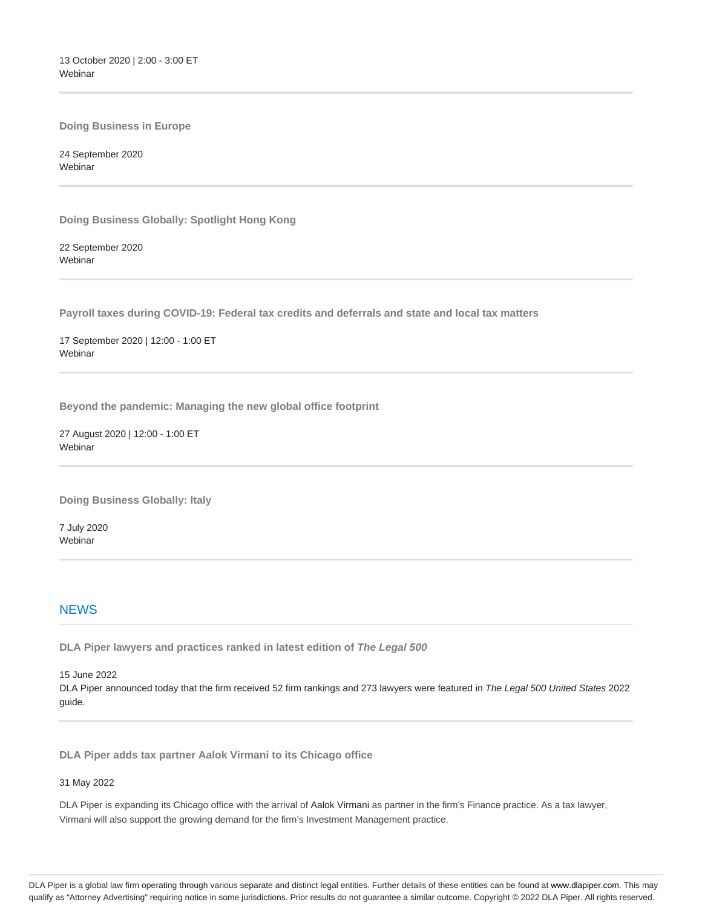13 October 2020 | 2:00 - 3:00 ET Webinar

**Doing Business in Europe**

24 September 2020 **Webinar** 

**Doing Business Globally: Spotlight Hong Kong**

22 September 2020 **Webinar** 

**Payroll taxes during COVID-19: Federal tax credits and deferrals and state and local tax matters**

17 September 2020 | 12:00 - 1:00 ET Webinar

**Beyond the pandemic: Managing the new global office footprint**

27 August 2020 | 12:00 - 1:00 ET Webinar

**Doing Business Globally: Italy**

7 July 2020 Webinar

### **NEWS**

**DLA Piper lawyers and practices ranked in latest edition of The Legal 500**

15 June 2022 DLA Piper announced today that the firm received 52 firm rankings and 273 lawyers were featured in The Legal 500 United States 2022 guide.

**DLA Piper adds tax partner Aalok Virmani to its Chicago office**

### 31 May 2022

DLA Piper is expanding its Chicago office with the arrival of Aalok Virmani as partner in the firm's Finance practice. As a tax lawyer, Virmani will also support the growing demand for the firm's Investment Management practice.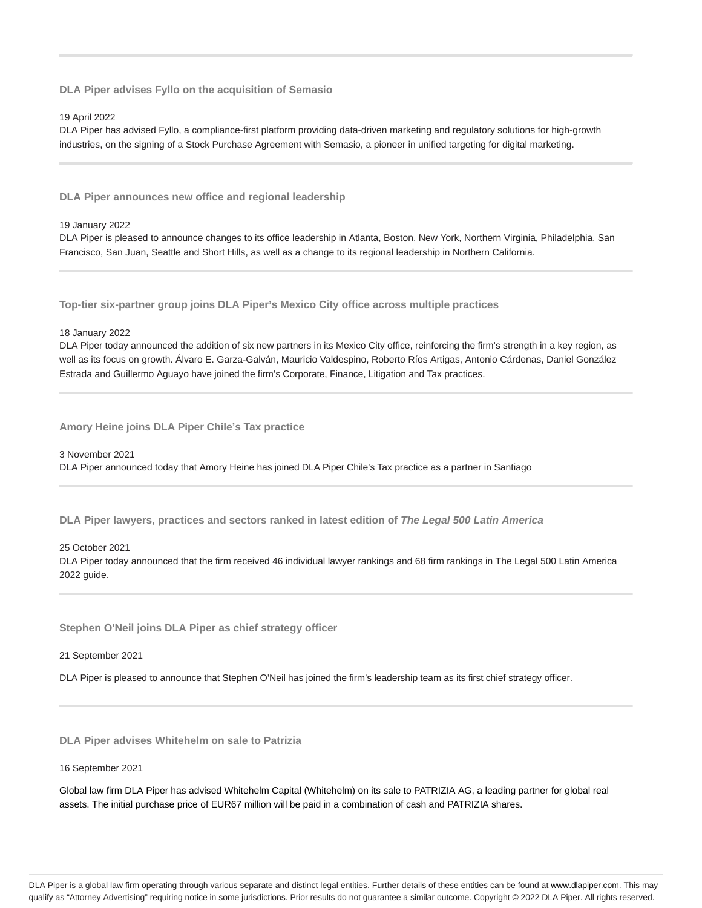**DLA Piper advises Fyllo on the acquisition of Semasio**

#### 19 April 2022

DLA Piper has advised Fyllo, a compliance-first platform providing data-driven marketing and regulatory solutions for high-growth industries, on the signing of a Stock Purchase Agreement with Semasio, a pioneer in unified targeting for digital marketing.

**DLA Piper announces new office and regional leadership**

#### 19 January 2022

DLA Piper is pleased to announce changes to its office leadership in Atlanta, Boston, New York, Northern Virginia, Philadelphia, San Francisco, San Juan, Seattle and Short Hills, as well as a change to its regional leadership in Northern California.

**Top-tier six-partner group joins DLA Piper's Mexico City office across multiple practices**

#### 18 January 2022

DLA Piper today announced the addition of six new partners in its Mexico City office, reinforcing the firm's strength in a key region, as well as its focus on growth. Álvaro E. Garza-Galván, Mauricio Valdespino, Roberto Ríos Artigas, Antonio Cárdenas, Daniel González Estrada and Guillermo Aguayo have joined the firm's Corporate, Finance, Litigation and Tax practices.

**Amory Heine joins DLA Piper Chile's Tax practice**

#### 3 November 2021

DLA Piper announced today that Amory Heine has joined DLA Piper Chile's Tax practice as a partner in Santiago

**DLA Piper lawyers, practices and sectors ranked in latest edition of The Legal 500 Latin America**

#### 25 October 2021

DLA Piper today announced that the firm received 46 individual lawyer rankings and 68 firm rankings in The Legal 500 Latin America 2022 guide.

**Stephen O'Neil joins DLA Piper as chief strategy officer**

21 September 2021

DLA Piper is pleased to announce that Stephen O'Neil has joined the firm's leadership team as its first chief strategy officer.

**DLA Piper advises Whitehelm on sale to Patrizia**

#### 16 September 2021

Global law firm DLA Piper has advised Whitehelm Capital (Whitehelm) on its sale to PATRIZIA AG, a leading partner for global real assets. The initial purchase price of EUR67 million will be paid in a combination of cash and PATRIZIA shares.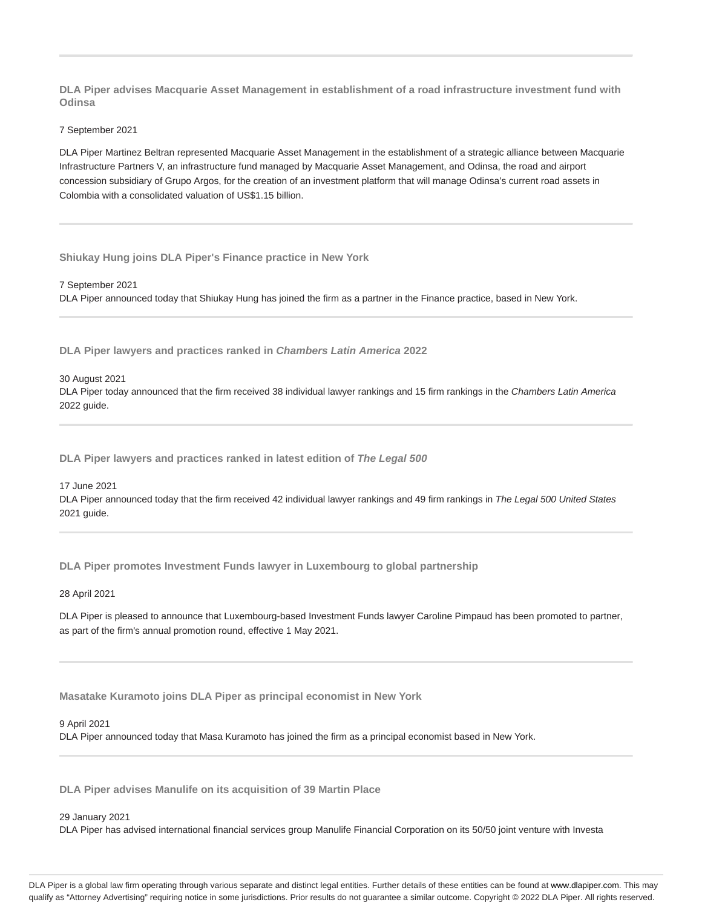**DLA Piper advises Macquarie Asset Management in establishment of a road infrastructure investment fund with Odinsa**

#### 7 September 2021

DLA Piper Martinez Beltran represented Macquarie Asset Management in the establishment of a strategic alliance between Macquarie Infrastructure Partners V, an infrastructure fund managed by Macquarie Asset Management, and Odinsa, the road and airport concession subsidiary of Grupo Argos, for the creation of an investment platform that will manage Odinsa's current road assets in Colombia with a consolidated valuation of US\$1.15 billion.

**Shiukay Hung joins DLA Piper's Finance practice in New York**

7 September 2021 DLA Piper announced today that Shiukay Hung has joined the firm as a partner in the Finance practice, based in New York.

**DLA Piper lawyers and practices ranked in Chambers Latin America 2022**

#### 30 August 2021

DLA Piper today announced that the firm received 38 individual lawyer rankings and 15 firm rankings in the Chambers Latin America 2022 guide.

**DLA Piper lawyers and practices ranked in latest edition of The Legal 500**

#### 17 June 2021

DLA Piper announced today that the firm received 42 individual lawyer rankings and 49 firm rankings in The Legal 500 United States 2021 guide.

**DLA Piper promotes Investment Funds lawyer in Luxembourg to global partnership**

### 28 April 2021

DLA Piper is pleased to announce that Luxembourg-based Investment Funds lawyer Caroline Pimpaud has been promoted to partner, as part of the firm's annual promotion round, effective 1 May 2021.

**Masatake Kuramoto joins DLA Piper as principal economist in New York**

#### 9 April 2021

DLA Piper announced today that Masa Kuramoto has joined the firm as a principal economist based in New York.

**DLA Piper advises Manulife on its acquisition of 39 Martin Place**

#### 29 January 2021

DLA Piper has advised international financial services group Manulife Financial Corporation on its 50/50 joint venture with Investa